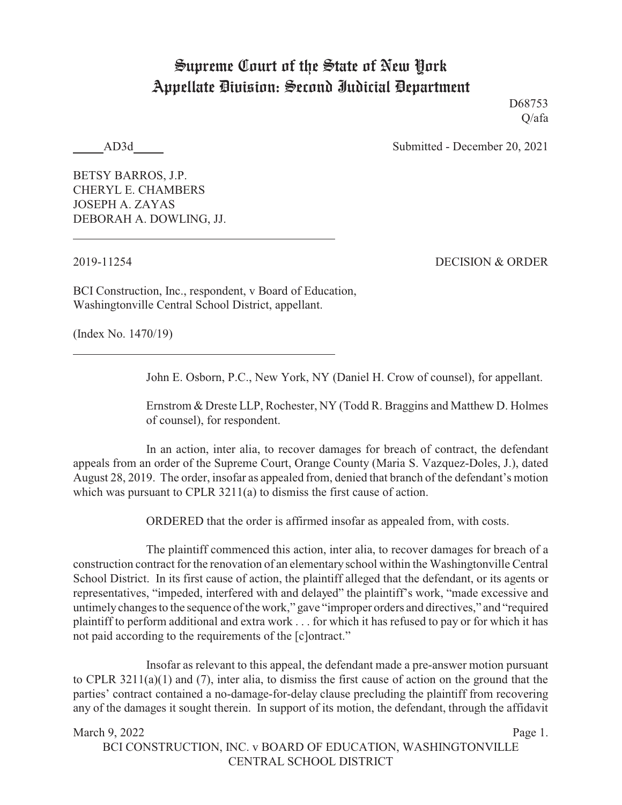## Supreme Court of the State of New York Appellate Division: Second Judicial Department

D68753 Q/afa

AD3d Submitted - December 20, 2021

BETSY BARROS, J.P. CHERYL E. CHAMBERS JOSEPH A. ZAYAS DEBORAH A. DOWLING, JJ.

2019-11254 DECISION & ORDER

BCI Construction, Inc., respondent, v Board of Education, Washingtonville Central School District, appellant.

(Index No. 1470/19)

John E. Osborn, P.C., New York, NY (Daniel H. Crow of counsel), for appellant.

Ernstrom & Dreste LLP, Rochester, NY (Todd R. Braggins and Matthew D. Holmes of counsel), for respondent.

In an action, inter alia, to recover damages for breach of contract, the defendant appeals from an order of the Supreme Court, Orange County (Maria S. Vazquez-Doles, J.), dated August 28, 2019. The order, insofar as appealed from, denied that branch of the defendant's motion which was pursuant to CPLR 3211(a) to dismiss the first cause of action.

ORDERED that the order is affirmed insofar as appealed from, with costs.

The plaintiff commenced this action, inter alia, to recover damages for breach of a construction contract for the renovation of an elementaryschool within the Washingtonville Central School District. In its first cause of action, the plaintiff alleged that the defendant, or its agents or representatives, "impeded, interfered with and delayed" the plaintiff's work, "made excessive and untimelychanges to the sequence of the work," gave "improper orders and directives," and "required plaintiff to perform additional and extra work . . . for which it has refused to pay or for which it has not paid according to the requirements of the [c]ontract."

Insofar as relevant to this appeal, the defendant made a pre-answer motion pursuant to CPLR 3211(a)(1) and (7), inter alia, to dismiss the first cause of action on the ground that the parties' contract contained a no-damage-for-delay clause precluding the plaintiff from recovering any of the damages it sought therein. In support of its motion, the defendant, through the affidavit

March 9, 2022 Page 1. BCI CONSTRUCTION, INC. v BOARD OF EDUCATION, WASHINGTONVILLE CENTRAL SCHOOL DISTRICT